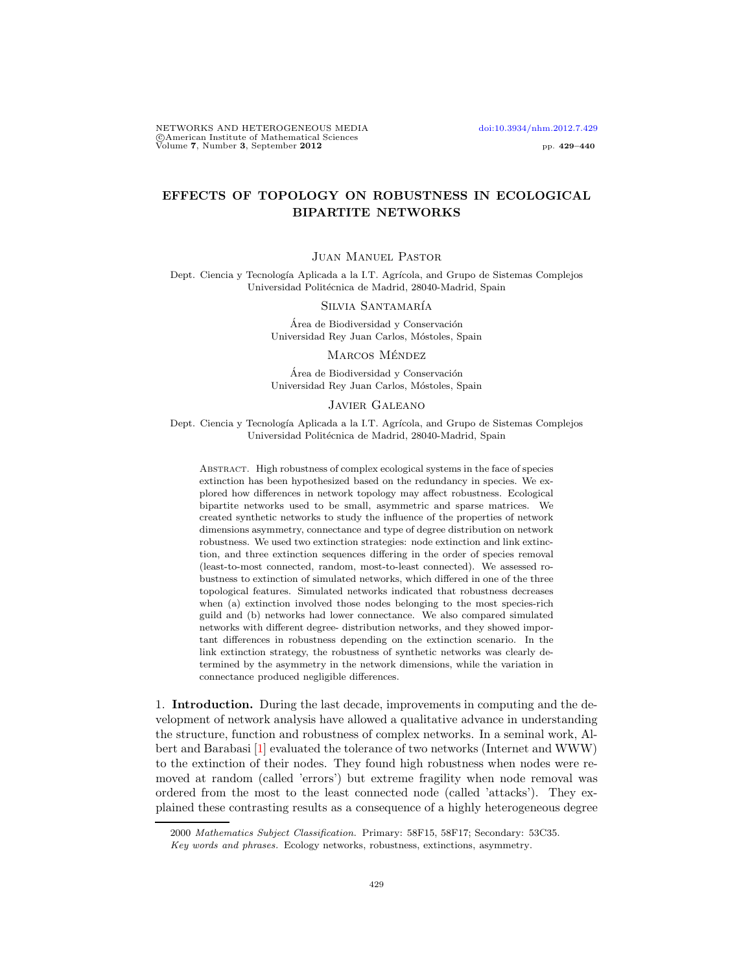NETWORKS AND HETEROGENEOUS MEDIA [doi:10.3934/nhm.2012.7.429](http://dx.doi.org/10.3934/nhm.2012.7.429) c American Institute of Mathematical Sciences Volume 7, Number 3, September 2012 pp. 429–440

# EFFECTS OF TOPOLOGY ON ROBUSTNESS IN ECOLOGICAL BIPARTITE NETWORKS

## Juan Manuel Pastor

Dept. Ciencia y Tecnología Aplicada a la I.T. Agrícola, and Grupo de Sistemas Complejos Universidad Politécnica de Madrid, 28040-Madrid, Spain

#### Silvia Santamaría

Área de Biodiversidad y Conservación Universidad Rey Juan Carlos, Móstoles, Spain

### MARCOS MÉNDEZ

Área de Biodiversidad y Conservación Universidad Rey Juan Carlos, Móstoles, Spain

#### Javier Galeano

Dept. Ciencia y Tecnología Aplicada a la I.T. Agrícola, and Grupo de Sistemas Complejos Universidad Politécnica de Madrid, 28040-Madrid, Spain

Abstract. High robustness of complex ecological systems in the face of species extinction has been hypothesized based on the redundancy in species. We explored how differences in network topology may affect robustness. Ecological bipartite networks used to be small, asymmetric and sparse matrices. We created synthetic networks to study the influence of the properties of network dimensions asymmetry, connectance and type of degree distribution on network robustness. We used two extinction strategies: node extinction and link extinction, and three extinction sequences differing in the order of species removal (least-to-most connected, random, most-to-least connected). We assessed robustness to extinction of simulated networks, which differed in one of the three topological features. Simulated networks indicated that robustness decreases when (a) extinction involved those nodes belonging to the most species-rich guild and (b) networks had lower connectance. We also compared simulated networks with different degree- distribution networks, and they showed important differences in robustness depending on the extinction scenario. In the link extinction strategy, the robustness of synthetic networks was clearly determined by the asymmetry in the network dimensions, while the variation in connectance produced negligible differences.

1. Introduction. During the last decade, improvements in computing and the development of network analysis have allowed a qualitative advance in understanding the structure, function and robustness of complex networks. In a seminal work, Albert and Barabasi [\[1\]](#page-10-0) evaluated the tolerance of two networks (Internet and WWW) to the extinction of their nodes. They found high robustness when nodes were removed at random (called 'errors') but extreme fragility when node removal was ordered from the most to the least connected node (called 'attacks'). They explained these contrasting results as a consequence of a highly heterogeneous degree

<sup>2000</sup> Mathematics Subject Classification. Primary: 58F15, 58F17; Secondary: 53C35.

Key words and phrases. Ecology networks, robustness, extinctions, asymmetry.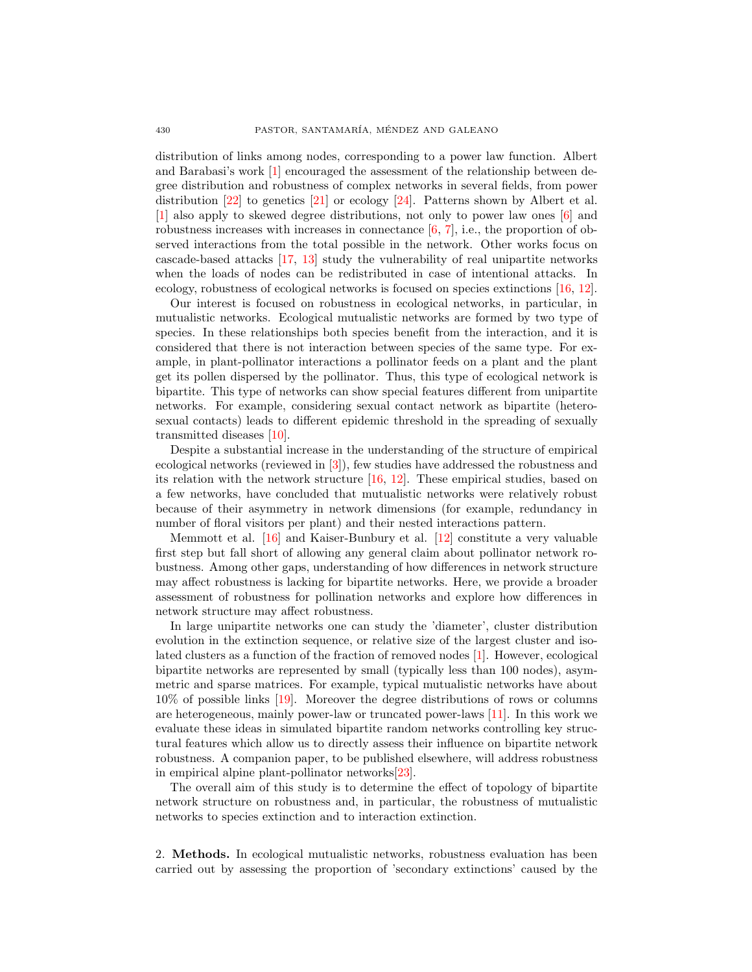distribution of links among nodes, corresponding to a power law function. Albert and Barabasi's work [\[1\]](#page-10-0) encouraged the assessment of the relationship between degree distribution and robustness of complex networks in several fields, from power distribution  $[22]$  to genetics  $[21]$  or ecology  $[24]$ . Patterns shown by Albert et al. [\[1\]](#page-10-0) also apply to skewed degree distributions, not only to power law ones [\[6\]](#page-10-1) and robustness increases with increases in connectance  $[6, 7]$  $[6, 7]$ , i.e., the proportion of observed interactions from the total possible in the network. Other works focus on cascade-based attacks [\[17,](#page-11-3) [13\]](#page-11-4) study the vulnerability of real unipartite networks when the loads of nodes can be redistributed in case of intentional attacks. In ecology, robustness of ecological networks is focused on species extinctions [\[16,](#page-11-5) [12\]](#page-11-6).

Our interest is focused on robustness in ecological networks, in particular, in mutualistic networks. Ecological mutualistic networks are formed by two type of species. In these relationships both species benefit from the interaction, and it is considered that there is not interaction between species of the same type. For example, in plant-pollinator interactions a pollinator feeds on a plant and the plant get its pollen dispersed by the pollinator. Thus, this type of ecological network is bipartite. This type of networks can show special features different from unipartite networks. For example, considering sexual contact network as bipartite (heterosexual contacts) leads to different epidemic threshold in the spreading of sexually transmitted diseases [\[10\]](#page-10-3).

Despite a substantial increase in the understanding of the structure of empirical ecological networks (reviewed in [\[3\]](#page-10-4)), few studies have addressed the robustness and its relation with the network structure [\[16,](#page-11-5) [12\]](#page-11-6). These empirical studies, based on a few networks, have concluded that mutualistic networks were relatively robust because of their asymmetry in network dimensions (for example, redundancy in number of floral visitors per plant) and their nested interactions pattern.

Memmott et al. [\[16\]](#page-11-5) and Kaiser-Bunbury et al. [\[12\]](#page-11-6) constitute a very valuable first step but fall short of allowing any general claim about pollinator network robustness. Among other gaps, understanding of how differences in network structure may affect robustness is lacking for bipartite networks. Here, we provide a broader assessment of robustness for pollination networks and explore how differences in network structure may affect robustness.

In large unipartite networks one can study the 'diameter', cluster distribution evolution in the extinction sequence, or relative size of the largest cluster and isolated clusters as a function of the fraction of removed nodes [\[1\]](#page-10-0). However, ecological bipartite networks are represented by small (typically less than 100 nodes), asymmetric and sparse matrices. For example, typical mutualistic networks have about 10% of possible links [\[19\]](#page-11-7). Moreover the degree distributions of rows or columns are heterogeneous, mainly power-law or truncated power-laws [\[11\]](#page-10-5). In this work we evaluate these ideas in simulated bipartite random networks controlling key structural features which allow us to directly assess their influence on bipartite network robustness. A companion paper, to be published elsewhere, will address robustness in empirical alpine plant-pollinator networks[\[23\]](#page-11-8).

The overall aim of this study is to determine the effect of topology of bipartite network structure on robustness and, in particular, the robustness of mutualistic networks to species extinction and to interaction extinction.

2. Methods. In ecological mutualistic networks, robustness evaluation has been carried out by assessing the proportion of 'secondary extinctions' caused by the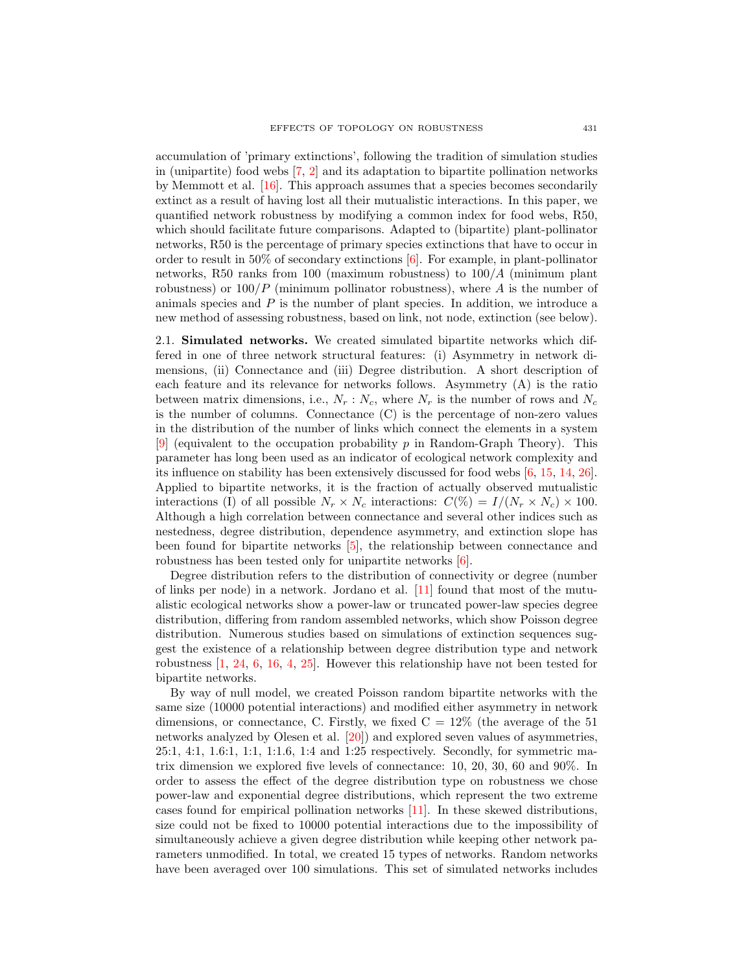accumulation of 'primary extinctions', following the tradition of simulation studies in (unipartite) food webs [\[7,](#page-10-2) [2\]](#page-10-6) and its adaptation to bipartite pollination networks by Memmott et al. [\[16\]](#page-11-5). This approach assumes that a species becomes secondarily extinct as a result of having lost all their mutualistic interactions. In this paper, we quantified network robustness by modifying a common index for food webs, R50, which should facilitate future comparisons. Adapted to (bipartite) plant-pollinator networks, R50 is the percentage of primary species extinctions that have to occur in order to result in 50% of secondary extinctions [\[6\]](#page-10-1). For example, in plant-pollinator networks, R50 ranks from 100 (maximum robustness) to 100/A (minimum plant robustness) or  $100/P$  (minimum pollinator robustness), where A is the number of animals species and  $P$  is the number of plant species. In addition, we introduce a new method of assessing robustness, based on link, not node, extinction (see below).

2.1. Simulated networks. We created simulated bipartite networks which differed in one of three network structural features: (i) Asymmetry in network dimensions, (ii) Connectance and (iii) Degree distribution. A short description of each feature and its relevance for networks follows. Asymmetry (A) is the ratio between matrix dimensions, i.e.,  $N_r$ :  $N_c$ , where  $N_r$  is the number of rows and  $N_c$ is the number of columns. Connectance (C) is the percentage of non-zero values in the distribution of the number of links which connect the elements in a system [\[9\]](#page-10-7) (equivalent to the occupation probability p in Random-Graph Theory). This parameter has long been used as an indicator of ecological network complexity and its influence on stability has been extensively discussed for food webs [\[6,](#page-10-1) [15,](#page-11-9) [14,](#page-11-10) [26\]](#page-11-11). Applied to bipartite networks, it is the fraction of actually observed mutualistic interactions (I) of all possible  $N_r \times N_c$  interactions:  $C(\%) = I/(N_r \times N_c) \times 100$ . Although a high correlation between connectance and several other indices such as nestedness, degree distribution, dependence asymmetry, and extinction slope has been found for bipartite networks [\[5\]](#page-10-8), the relationship between connectance and robustness has been tested only for unipartite networks [\[6\]](#page-10-1).

Degree distribution refers to the distribution of connectivity or degree (number of links per node) in a network. Jordano et al. [\[11\]](#page-10-5) found that most of the mutualistic ecological networks show a power-law or truncated power-law species degree distribution, differing from random assembled networks, which show Poisson degree distribution. Numerous studies based on simulations of extinction sequences suggest the existence of a relationship between degree distribution type and network robustness [\[1,](#page-10-0) [24,](#page-11-2) [6,](#page-10-1) [16,](#page-11-5) [4,](#page-10-9) [25\]](#page-11-12). However this relationship have not been tested for bipartite networks.

By way of null model, we created Poisson random bipartite networks with the same size (10000 potential interactions) and modified either asymmetry in network dimensions, or connectance, C. Firstly, we fixed  $C = 12\%$  (the average of the 51) networks analyzed by Olesen et al. [\[20\]](#page-11-13)) and explored seven values of asymmetries, 25:1, 4:1, 1.6:1, 1:1, 1:1.6, 1:4 and 1:25 respectively. Secondly, for symmetric matrix dimension we explored five levels of connectance: 10, 20, 30, 60 and 90%. In order to assess the effect of the degree distribution type on robustness we chose power-law and exponential degree distributions, which represent the two extreme cases found for empirical pollination networks [\[11\]](#page-10-5). In these skewed distributions, size could not be fixed to 10000 potential interactions due to the impossibility of simultaneously achieve a given degree distribution while keeping other network parameters unmodified. In total, we created 15 types of networks. Random networks have been averaged over 100 simulations. This set of simulated networks includes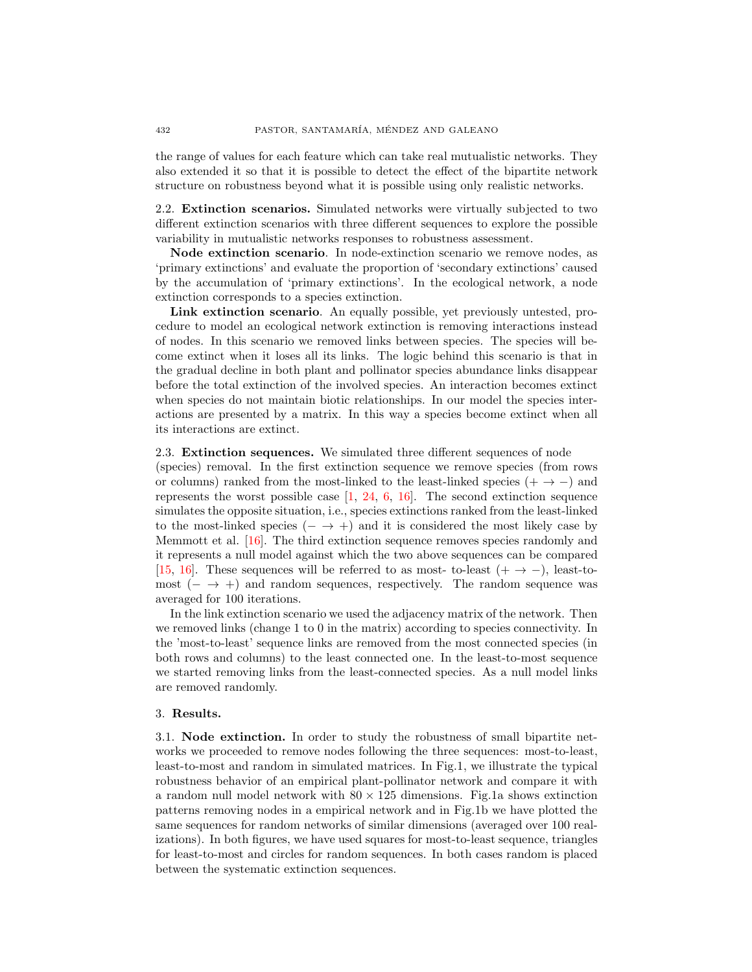the range of values for each feature which can take real mutualistic networks. They also extended it so that it is possible to detect the effect of the bipartite network structure on robustness beyond what it is possible using only realistic networks.

2.2. Extinction scenarios. Simulated networks were virtually subjected to two different extinction scenarios with three different sequences to explore the possible variability in mutualistic networks responses to robustness assessment.

Node extinction scenario. In node-extinction scenario we remove nodes, as 'primary extinctions' and evaluate the proportion of 'secondary extinctions' caused by the accumulation of 'primary extinctions'. In the ecological network, a node extinction corresponds to a species extinction.

Link extinction scenario. An equally possible, yet previously untested, procedure to model an ecological network extinction is removing interactions instead of nodes. In this scenario we removed links between species. The species will become extinct when it loses all its links. The logic behind this scenario is that in the gradual decline in both plant and pollinator species abundance links disappear before the total extinction of the involved species. An interaction becomes extinct when species do not maintain biotic relationships. In our model the species interactions are presented by a matrix. In this way a species become extinct when all its interactions are extinct.

#### 2.3. Extinction sequences. We simulated three different sequences of node

(species) removal. In the first extinction sequence we remove species (from rows or columns) ranked from the most-linked to the least-linked species  $(+\rightarrow -)$  and represents the worst possible case  $\left[1, 24, 6, 16\right]$  $\left[1, 24, 6, 16\right]$  $\left[1, 24, 6, 16\right]$  $\left[1, 24, 6, 16\right]$  $\left[1, 24, 6, 16\right]$ . The second extinction sequence simulates the opposite situation, i.e., species extinctions ranked from the least-linked to the most-linked species  $(- \rightarrow +)$  and it is considered the most likely case by Memmott et al. [\[16\]](#page-11-5). The third extinction sequence removes species randomly and it represents a null model against which the two above sequences can be compared [\[15,](#page-11-9) [16\]](#page-11-5). These sequences will be referred to as most- to-least  $(+ \rightarrow -)$ , least-tomost  $(- \rightarrow +)$  and random sequences, respectively. The random sequence was averaged for 100 iterations.

In the link extinction scenario we used the adjacency matrix of the network. Then we removed links (change 1 to 0 in the matrix) according to species connectivity. In the 'most-to-least' sequence links are removed from the most connected species (in both rows and columns) to the least connected one. In the least-to-most sequence we started removing links from the least-connected species. As a null model links are removed randomly.

## 3. Results.

3.1. Node extinction. In order to study the robustness of small bipartite networks we proceeded to remove nodes following the three sequences: most-to-least, least-to-most and random in simulated matrices. In Fig.1, we illustrate the typical robustness behavior of an empirical plant-pollinator network and compare it with a random null model network with  $80 \times 125$  dimensions. Fig.1a shows extinction patterns removing nodes in a empirical network and in Fig.1b we have plotted the same sequences for random networks of similar dimensions (averaged over 100 realizations). In both figures, we have used squares for most-to-least sequence, triangles for least-to-most and circles for random sequences. In both cases random is placed between the systematic extinction sequences.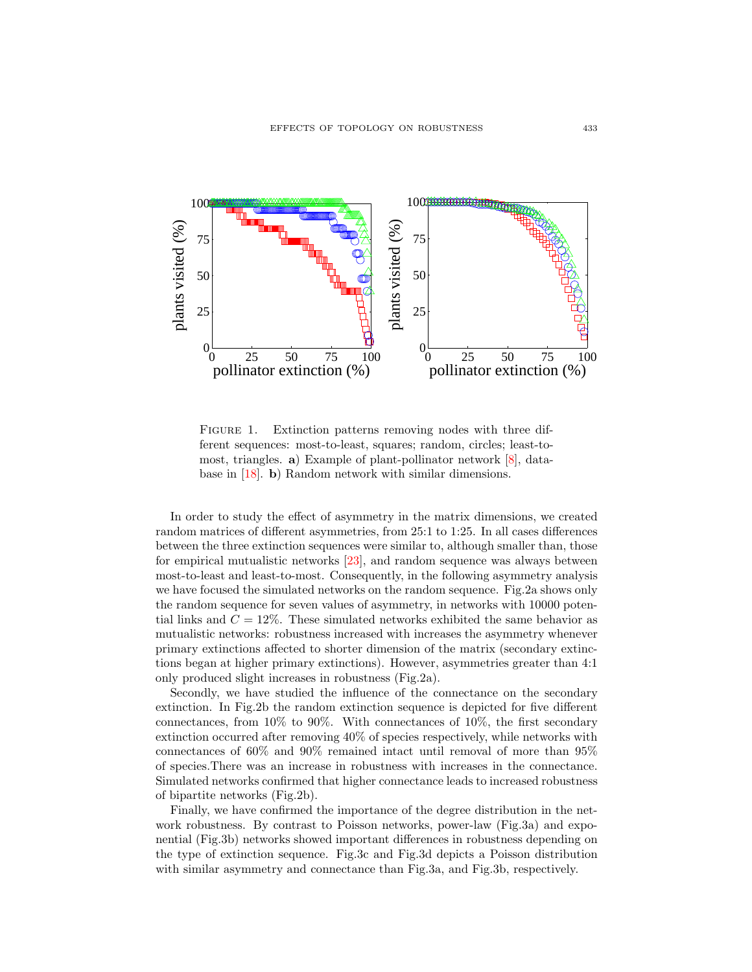

FIGURE 1. Extinction patterns removing nodes with three different sequences: most-to-least, squares; random, circles; least-tomost, triangles. a) Example of plant-pollinator network [\[8\]](#page-10-10), database in [\[18\]](#page-11-14). b) Random network with similar dimensions.

In order to study the effect of asymmetry in the matrix dimensions, we created random matrices of different asymmetries, from 25:1 to 1:25. In all cases differences between the three extinction sequences were similar to, although smaller than, those for empirical mutualistic networks [\[23\]](#page-11-8), and random sequence was always between most-to-least and least-to-most. Consequently, in the following asymmetry analysis we have focused the simulated networks on the random sequence. Fig.2a shows only the random sequence for seven values of asymmetry, in networks with 10000 potential links and  $C = 12\%$ . These simulated networks exhibited the same behavior as mutualistic networks: robustness increased with increases the asymmetry whenever primary extinctions affected to shorter dimension of the matrix (secondary extinctions began at higher primary extinctions). However, asymmetries greater than 4:1 only produced slight increases in robustness (Fig.2a).

Secondly, we have studied the influence of the connectance on the secondary extinction. In Fig.2b the random extinction sequence is depicted for five different connectances, from 10% to 90%. With connectances of 10%, the first secondary extinction occurred after removing 40% of species respectively, while networks with connectances of 60% and 90% remained intact until removal of more than 95% of species.There was an increase in robustness with increases in the connectance. Simulated networks confirmed that higher connectance leads to increased robustness of bipartite networks (Fig.2b).

Finally, we have confirmed the importance of the degree distribution in the network robustness. By contrast to Poisson networks, power-law (Fig.3a) and exponential (Fig.3b) networks showed important differences in robustness depending on the type of extinction sequence. Fig.3c and Fig.3d depicts a Poisson distribution with similar asymmetry and connectance than Fig.3a, and Fig.3b, respectively.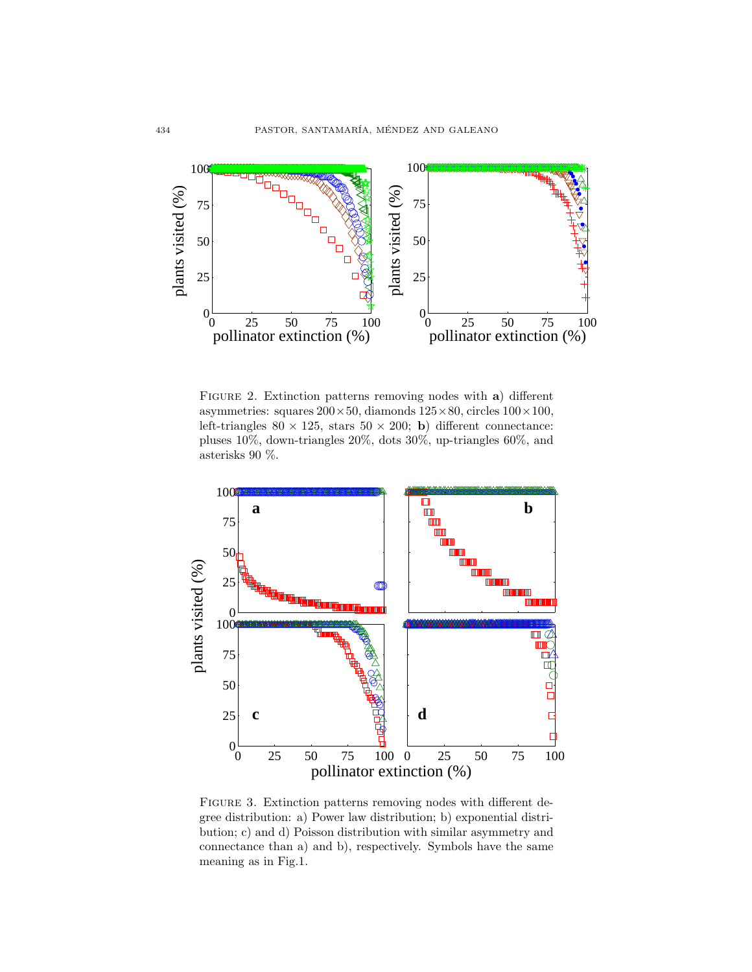

FIGURE 2. Extinction patterns removing nodes with a) different asymmetries: squares  $200 \times 50$ , diamonds  $125 \times 80$ , circles  $100 \times 100$ , left-triangles  $80 \times 125$ , stars  $50 \times 200$ ; b) different connectance: pluses 10%, down-triangles 20%, dots 30%, up-triangles 60%, and asterisks 90 %.



FIGURE 3. Extinction patterns removing nodes with different degree distribution: a) Power law distribution; b) exponential distribution; c) and d) Poisson distribution with similar asymmetry and connectance than a) and b), respectively. Symbols have the same meaning as in Fig.1.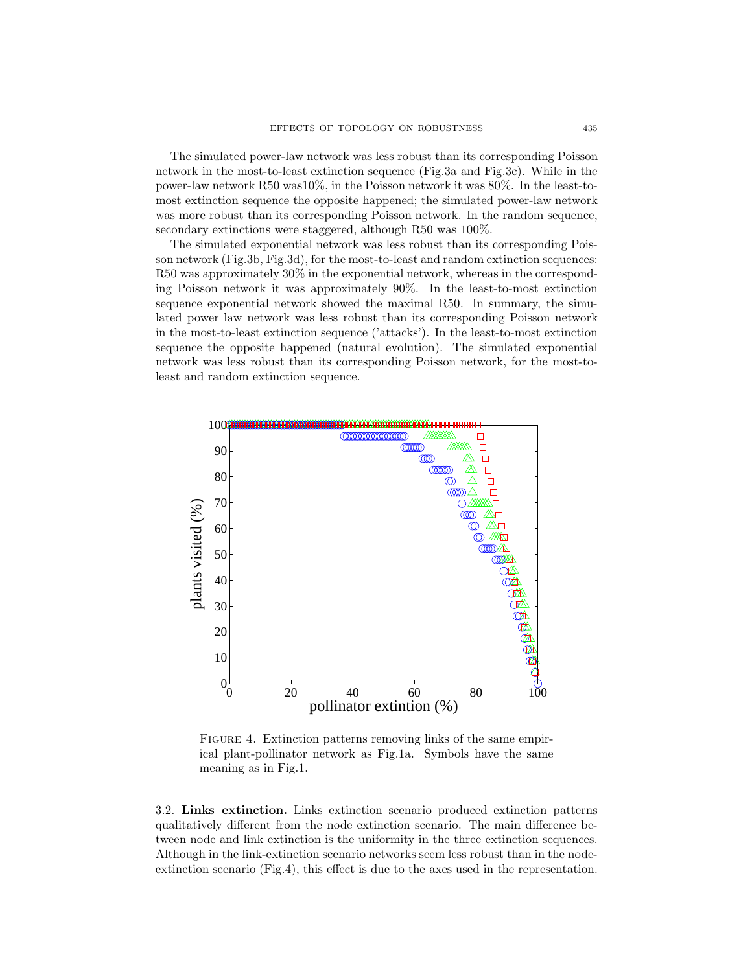The simulated power-law network was less robust than its corresponding Poisson network in the most-to-least extinction sequence (Fig.3a and Fig.3c). While in the power-law network R50 was10%, in the Poisson network it was 80%. In the least-tomost extinction sequence the opposite happened; the simulated power-law network was more robust than its corresponding Poisson network. In the random sequence, secondary extinctions were staggered, although R50 was 100%.

The simulated exponential network was less robust than its corresponding Poisson network (Fig.3b, Fig.3d), for the most-to-least and random extinction sequences: R50 was approximately 30% in the exponential network, whereas in the corresponding Poisson network it was approximately 90%. In the least-to-most extinction sequence exponential network showed the maximal R50. In summary, the simulated power law network was less robust than its corresponding Poisson network in the most-to-least extinction sequence ('attacks'). In the least-to-most extinction sequence the opposite happened (natural evolution). The simulated exponential network was less robust than its corresponding Poisson network, for the most-toleast and random extinction sequence.



FIGURE 4. Extinction patterns removing links of the same empirical plant-pollinator network as Fig.1a. Symbols have the same meaning as in Fig.1.

3.2. Links extinction. Links extinction scenario produced extinction patterns qualitatively different from the node extinction scenario. The main difference between node and link extinction is the uniformity in the three extinction sequences. Although in the link-extinction scenario networks seem less robust than in the nodeextinction scenario (Fig.4), this effect is due to the axes used in the representation.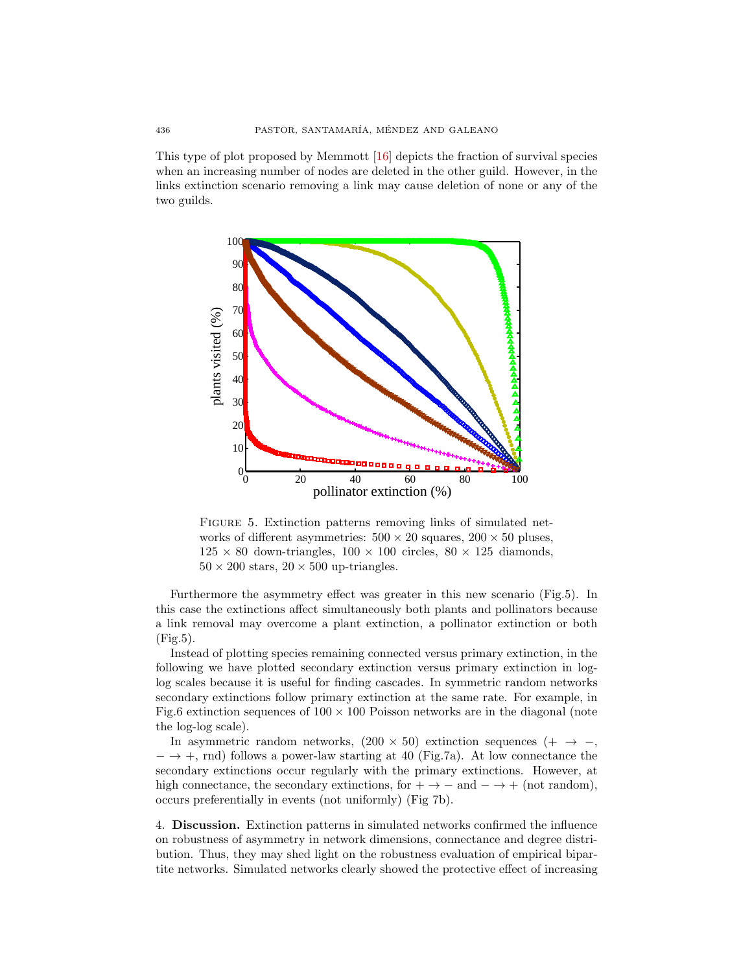This type of plot proposed by Memmott [\[16\]](#page-11-5) depicts the fraction of survival species when an increasing number of nodes are deleted in the other guild. However, in the links extinction scenario removing a link may cause deletion of none or any of the two guilds.



FIGURE 5. Extinction patterns removing links of simulated networks of different asymmetries:  $500 \times 20$  squares,  $200 \times 50$  pluses,  $125 \times 80$  down-triangles,  $100 \times 100$  circles,  $80 \times 125$  diamonds,  $50 \times 200$  stars,  $20 \times 500$  up-triangles.

Furthermore the asymmetry effect was greater in this new scenario (Fig.5). In this case the extinctions affect simultaneously both plants and pollinators because a link removal may overcome a plant extinction, a pollinator extinction or both  $(Fig.5)$ .

Instead of plotting species remaining connected versus primary extinction, in the following we have plotted secondary extinction versus primary extinction in loglog scales because it is useful for finding cascades. In symmetric random networks secondary extinctions follow primary extinction at the same rate. For example, in Fig.6 extinction sequences of  $100 \times 100$  Poisson networks are in the diagonal (note the log-log scale).

In asymmetric random networks,  $(200 \times 50)$  extinction sequences  $(+) \rightarrow -$ ,  $-\rightarrow +$ , rnd) follows a power-law starting at 40 (Fig.7a). At low connectance the secondary extinctions occur regularly with the primary extinctions. However, at high connectance, the secondary extinctions, for  $+ \rightarrow -$  and  $- \rightarrow +$  (not random), occurs preferentially in events (not uniformly) (Fig 7b).

4. Discussion. Extinction patterns in simulated networks confirmed the influence on robustness of asymmetry in network dimensions, connectance and degree distribution. Thus, they may shed light on the robustness evaluation of empirical bipartite networks. Simulated networks clearly showed the protective effect of increasing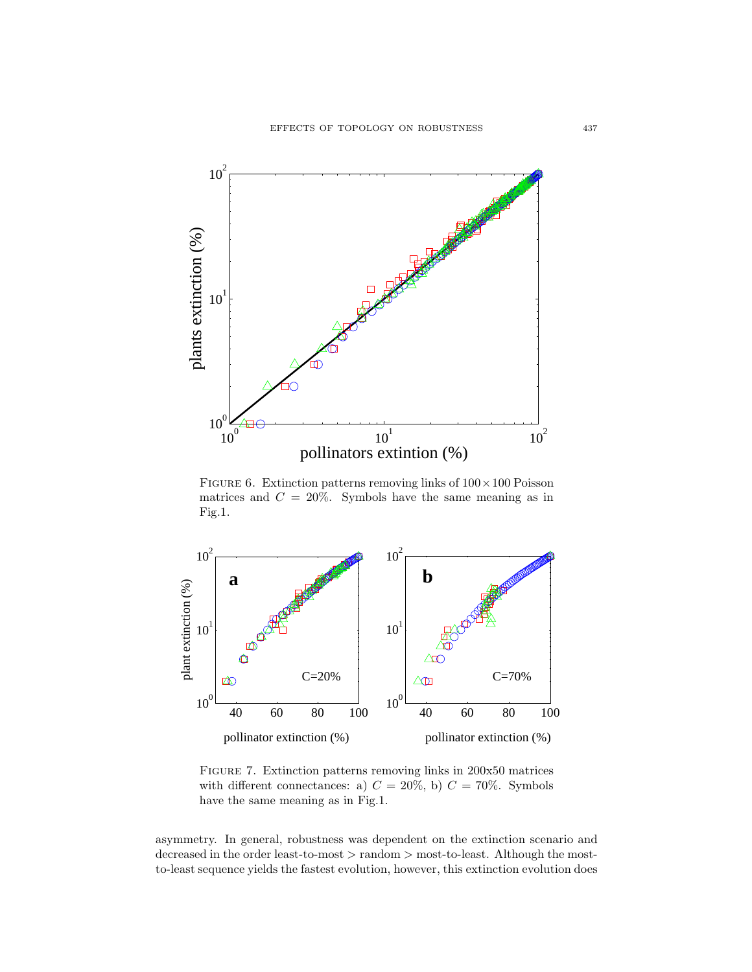

FIGURE 6. Extinction patterns removing links of  $100 \times 100$  Poisson matrices and  $C = 20\%$ . Symbols have the same meaning as in Fig.1.



Figure 7. Extinction patterns removing links in 200x50 matrices with different connectances: a)  $C = 20\%$ , b)  $C = 70\%$ . Symbols have the same meaning as in Fig.1.

asymmetry. In general, robustness was dependent on the extinction scenario and decreased in the order least-to-most > random > most-to-least. Although the mostto-least sequence yields the fastest evolution, however, this extinction evolution does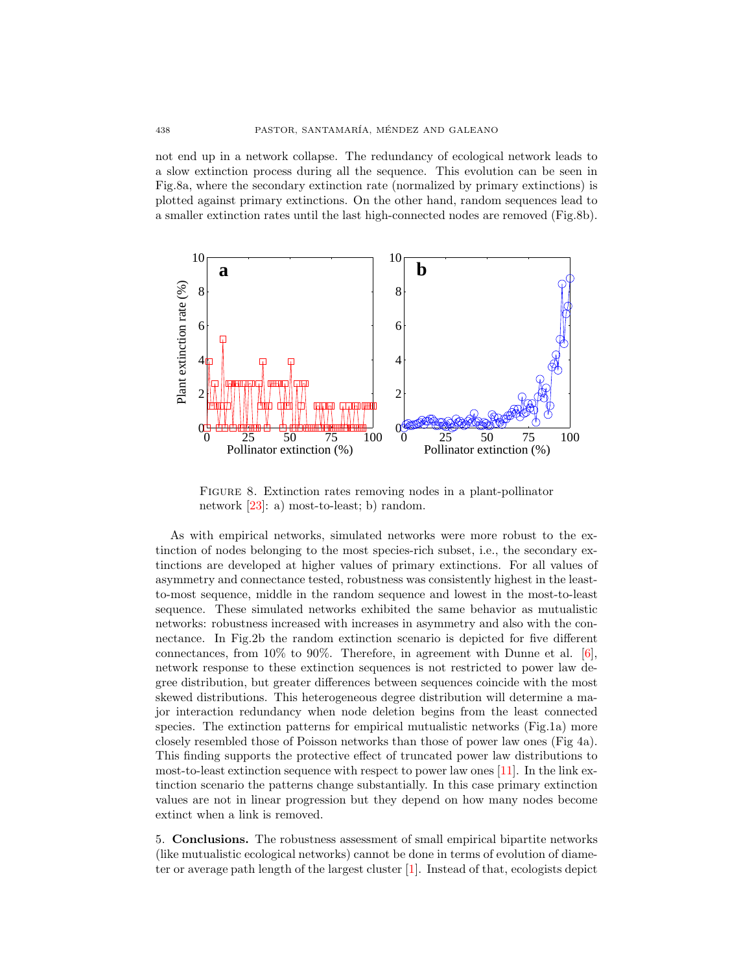not end up in a network collapse. The redundancy of ecological network leads to a slow extinction process during all the sequence. This evolution can be seen in Fig.8a, where the secondary extinction rate (normalized by primary extinctions) is plotted against primary extinctions. On the other hand, random sequences lead to a smaller extinction rates until the last high-connected nodes are removed (Fig.8b).



Figure 8. Extinction rates removing nodes in a plant-pollinator network [\[23\]](#page-11-8): a) most-to-least; b) random.

As with empirical networks, simulated networks were more robust to the extinction of nodes belonging to the most species-rich subset, i.e., the secondary extinctions are developed at higher values of primary extinctions. For all values of asymmetry and connectance tested, robustness was consistently highest in the leastto-most sequence, middle in the random sequence and lowest in the most-to-least sequence. These simulated networks exhibited the same behavior as mutualistic networks: robustness increased with increases in asymmetry and also with the connectance. In Fig.2b the random extinction scenario is depicted for five different connectances, from 10% to 90%. Therefore, in agreement with Dunne et al.  $[6]$ , network response to these extinction sequences is not restricted to power law degree distribution, but greater differences between sequences coincide with the most skewed distributions. This heterogeneous degree distribution will determine a major interaction redundancy when node deletion begins from the least connected species. The extinction patterns for empirical mutualistic networks (Fig.1a) more closely resembled those of Poisson networks than those of power law ones (Fig 4a). This finding supports the protective effect of truncated power law distributions to most-to-least extinction sequence with respect to power law ones [\[11\]](#page-10-5). In the link extinction scenario the patterns change substantially. In this case primary extinction values are not in linear progression but they depend on how many nodes become extinct when a link is removed.

5. Conclusions. The robustness assessment of small empirical bipartite networks (like mutualistic ecological networks) cannot be done in terms of evolution of diameter or average path length of the largest cluster [\[1\]](#page-10-0). Instead of that, ecologists depict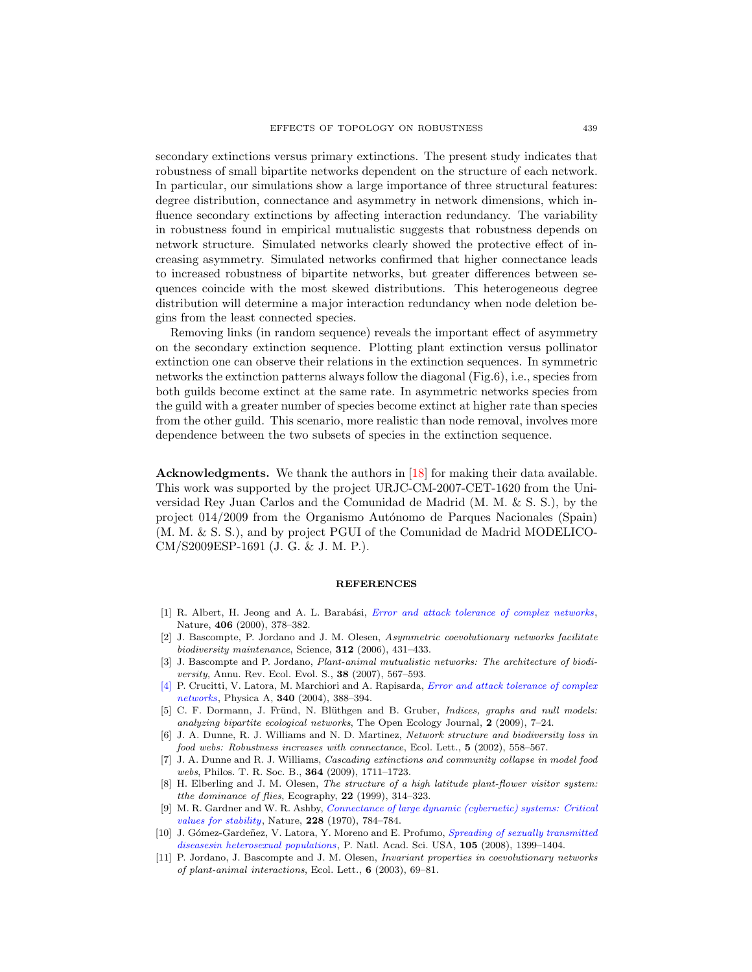secondary extinctions versus primary extinctions. The present study indicates that robustness of small bipartite networks dependent on the structure of each network. In particular, our simulations show a large importance of three structural features: degree distribution, connectance and asymmetry in network dimensions, which influence secondary extinctions by affecting interaction redundancy. The variability in robustness found in empirical mutualistic suggests that robustness depends on network structure. Simulated networks clearly showed the protective effect of increasing asymmetry. Simulated networks confirmed that higher connectance leads to increased robustness of bipartite networks, but greater differences between sequences coincide with the most skewed distributions. This heterogeneous degree distribution will determine a major interaction redundancy when node deletion begins from the least connected species.

Removing links (in random sequence) reveals the important effect of asymmetry on the secondary extinction sequence. Plotting plant extinction versus pollinator extinction one can observe their relations in the extinction sequences. In symmetric networks the extinction patterns always follow the diagonal (Fig.6), i.e., species from both guilds become extinct at the same rate. In asymmetric networks species from the guild with a greater number of species become extinct at higher rate than species from the other guild. This scenario, more realistic than node removal, involves more dependence between the two subsets of species in the extinction sequence.

Acknowledgments. We thank the authors in [\[18\]](#page-11-14) for making their data available. This work was supported by the project URJC-CM-2007-CET-1620 from the Universidad Rey Juan Carlos and the Comunidad de Madrid (M. M. & S. S.), by the project 014/2009 from the Organismo Autónomo de Parques Nacionales (Spain) (M. M. & S. S.), and by project PGUI of the Comunidad de Madrid MODELICO-CM/S2009ESP-1691 (J. G. & J. M. P.).

#### REFERENCES

- <span id="page-10-0"></span>[1] R. Albert, H. Jeong and A. L. Barabási, *[Error and attack tolerance of complex networks](http://dx.doi.org/10.1038/35019019)*, Nature, 406 (2000), 378–382.
- <span id="page-10-6"></span>[2] J. Bascompte, P. Jordano and J. M. Olesen, Asymmetric coevolutionary networks facilitate biodiversity maintenance, Science, 312 (2006), 431–433.
- <span id="page-10-4"></span>[3] J. Bascompte and P. Jordano, *Plant-animal mutualistic networks: The architecture of biodi*versity, Annu. Rev. Ecol. Evol. S., 38 (2007), 567-593.
- <span id="page-10-9"></span>[\[4\]](http://www.ams.org/mathscinet-getitem?mr=MR2088356&return=pdf) [P. Crucitti, V. Latora, M. Marchiori and A. Rapisarda,](http://dx.doi.org/10.1016/j.physa.2004.04.031) Error and attack tolerance of complex networks, Physica A, 340 (2004), 388–394.
- <span id="page-10-8"></span>[5] C. F. Dormann, J. Fründ, N. Blüthgen and B. Gruber, *Indices, graphs and null models:* analyzing bipartite ecological networks, The Open Ecology Journal, 2 (2009), 7–24.
- <span id="page-10-1"></span>[6] J. A. Dunne, R. J. Williams and N. D. Martinez, Network structure and biodiversity loss in food webs: Robustness increases with connectance, Ecol. Lett., 5 (2002), 558–567.
- <span id="page-10-2"></span>[7] J. A. Dunne and R. J. Williams, Cascading extinctions and community collapse in model food webs, Philos. T. R. Soc. B., 364 (2009), 1711–1723.
- <span id="page-10-10"></span>[8] H. Elberling and J. M. Olesen, The structure of a high latitude plant-flower visitor system: tthe dominance of flies, Ecography,  $22$  (1999), 314-323.
- <span id="page-10-7"></span>[9] M. R. Gardner and W. R. Ashby, [Connectance of large dynamic \(cybernetic\) systems: Critical](http://dx.doi.org/10.1038/228784a0) values for stability, Nature,  $228$  (1970), 784–784.
- <span id="page-10-3"></span>[10] J. Gómez-Gardeñez, V. Latora, Y. Moreno and E. Profumo, Spreading of sexually transmitted diseasesin heterosexual populations, P. Natl. Acad. Sci. USA, 105 (2008), 1399–1404.
- <span id="page-10-5"></span>[11] P. Jordano, J. Bascompte and J. M. Olesen, Invariant properties in coevolutionary networks of plant-animal interactions, Ecol. Lett., 6 (2003), 69–81.